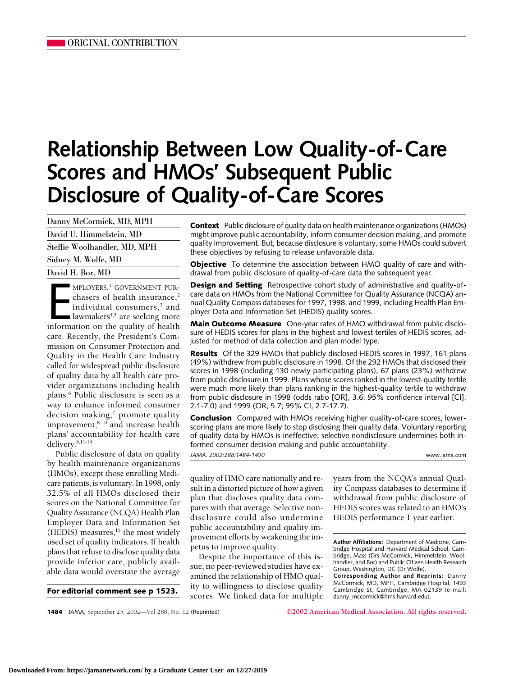# **Relationship Between Low Quality-of-Care Scores and HMOs' Subsequent Public Disclosure of Quality-of-Care Scores**

Danny McCormick, MD, MPH David U. Himmelstein, MD Steffie Woolhandler, MD, MPH Sidney M. Wolfe, MD

David H. Bor, MD

MPLOYERS,<sup>1</sup> GOVERNMENT PUR-<br>chasers of health insurance,<sup>2</sup><br>individual consumers,<sup>3</sup> and<br>lawmakers<sup>4,5</sup> are seeking more<br>information on the quality of health MPLOYERS, <sup>1</sup> GOVERNMENT PURchasers of health insurance,<sup>2</sup> individual consumers,<sup>3</sup> and lawmakers<sup>4,5</sup> are seeking more care. Recently, the President's Commission on Consumer Protection and Quality in the Health Care Industry called for widespread public disclosure of quality data by all health care provider organizations including health plans.6 Public disclosure is seen as a way to enhance informed consumer decision making,<sup>7</sup> promote quality improvement,<sup>8-10</sup> and increase health plans' accountability for health care delivery.6,11-14

Public disclosure of data on quality by health maintenance organizations (HMOs), except those enrolling Medicare patients, is voluntary. In 1998, only 32.5% of all HMOs disclosed their scores on the National Committee for Quality Assurance (NCQA) Health Plan Employer Data and Information Set (HEDIS) measures, $15$  the most widely used set of quality indicators. If health plans that refuse to disclose quality data provide inferior care, publicly available data would overstate the average

**For editorial comment see p 1523.**

**Context** Public disclosure of quality data on health maintenance organizations (HMOs) might improve public accountability, inform consumer decision making, and promote quality improvement. But, because disclosure is voluntary, some HMOs could subvert these objectives by refusing to release unfavorable data.

**Objective** To determine the association between HMO quality of care and withdrawal from public disclosure of quality-of-care data the subsequent year.

**Design and Setting** Retrospective cohort study of administrative and quality-ofcare data on HMOs from the National Committee for Quality Assurance (NCQA) annual Quality Compass databases for 1997, 1998, and 1999, including Health Plan Employer Data and Information Set (HEDIS) quality scores.

**Main Outcome Measure** One-year rates of HMO withdrawal from public disclosure of HEDIS scores for plans in the highest and lowest tertiles of HEDIS scores, adjusted for method of data collection and plan model type.

**Results** Of the 329 HMOs that publicly disclosed HEDIS scores in 1997, 161 plans (49%) withdrew from public disclosure in 1998. Of the 292 HMOs that disclosed their scores in 1998 (including 130 newly participating plans), 67 plans (23%) withdrew from public disclosure in 1999. Plans whose scores ranked in the lowest-quality tertile were much more likely than plans ranking in the highest-quality tertile to withdraw from public disclosure in 1998 (odds ratio [OR], 3.6; 95% confidence interval [CI], 2.1-7.0) and 1999 (OR, 5.7; 95% CI, 2.7-17.7).

**Conclusion** Compared with HMOs receiving higher quality-of-care scores, lowerscoring plans are more likely to stop disclosing their quality data. Voluntary reporting of quality data by HMOs is ineffective; selective nondisclosure undermines both informed consumer decision making and public accountability.

*JAMA. 2002;288:1484-1490* www.jama.com

quality of HMO care nationally and result in a distorted picture of how a given plan that discloses quality data compares with that average. Selective nondisclosure could also undermine public accountability and quality improvement efforts by weakening the impetus to improve quality.

Despite the importance of this issue, no peer-reviewed studies have examined the relationship of HMO quality to willingness to disclose quality scores. We linked data for multiple years from the NCQA's annual Quality Compass databases to determine if withdrawal from public disclosure of HEDIS scores was related to an HMO's HEDIS performance 1 year earlier.

**1484** JAMA, September 25, 2002—Vol 288, No. 12 (Reprinted) **©2002 American Medical Association. All rights reserved.**

**Author Affiliations:** Department of Medicine, Cambridge Hospital and Harvard Medical School, Cambridge, Mass (Drs McCormick, Himmelstein, Woolhandler, and Bor) and Public Citizen Health Research Group, Washington, DC (Dr Wolfe).

**Corresponding Author and Reprints:** Danny McCormick, MD, MPH, Cambridge Hospital, 1493 Cambridge St, Cambridge, MA 02139 (e-mail: danny\_mccormick@hms.harvard.edu).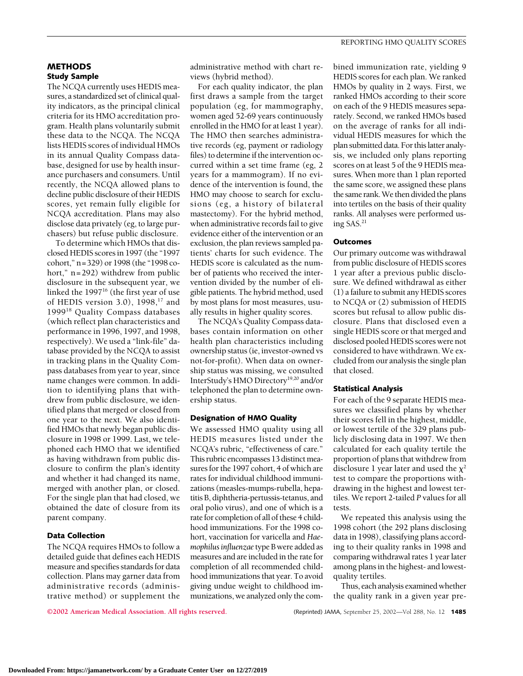## **METHODS Study Sample**

The NCQA currently uses HEDIS measures, a standardized set of clinical quality indicators, as the principal clinical criteria for its HMO accreditation program. Health plans voluntarily submit these data to the NCQA. The NCQA lists HEDIS scores of individual HMOs in its annual Quality Compass database, designed for use by health insurance purchasers and consumers. Until recently, the NCQA allowed plans to decline public disclosure of their HEDIS scores, yet remain fully eligible for NCQA accreditation. Plans may also disclose data privately (eg, to large purchasers) but refuse public disclosure.

To determine which HMOs that disclosed HEDIS scores in 1997 (the "1997 cohort," n=329) or 1998 (the "1998 cohort," n=292) withdrew from public disclosure in the subsequent year, we linked the  $1997<sup>16</sup>$  (the first year of use of HEDIS version 3.0), 1998,<sup>17</sup> and 199918 Quality Compass databases (which reflect plan characteristics and performance in 1996, 1997, and 1998, respectively). We used a "link-file" database provided by the NCQA to assist in tracking plans in the Quality Compass databases from year to year, since name changes were common. In addition to identifying plans that withdrew from public disclosure, we identified plans that merged or closed from one year to the next. We also identified HMOs that newly began public disclosure in 1998 or 1999. Last, we telephoned each HMO that we identified as having withdrawn from public disclosure to confirm the plan's identity and whether it had changed its name, merged with another plan, or closed. For the single plan that had closed, we obtained the date of closure from its parent company.

## **Data Collection**

The NCQA requires HMOs to follow a detailed guide that defines each HEDIS measure and specifies standards for data collection. Plans may garner data from administrative records (administrative method) or supplement the

administrative method with chart reviews (hybrid method).

For each quality indicator, the plan first draws a sample from the target population (eg, for mammography, women aged 52-69 years continuously enrolled in the HMO for at least 1 year). The HMO then searches administrative records (eg, payment or radiology files) to determine if the intervention occurred within a set time frame (eg, 2 years for a mammogram). If no evidence of the intervention is found, the HMO may choose to search for exclusions (eg, a history of bilateral mastectomy). For the hybrid method, when administrative records fail to give evidence either of the intervention or an exclusion, the plan reviews sampled patients' charts for such evidence. The HEDIS score is calculated as the number of patients who received the intervention divided by the number of eligible patients. The hybrid method, used by most plans for most measures, usually results in higher quality scores.

The NCQA's Quality Compass databases contain information on other health plan characteristics including ownership status (ie, investor-owned vs not-for-profit). When data on ownership status was missing, we consulted InterStudy's HMO Directory19,20 and/or telephoned the plan to determine ownership status.

#### **Designation of HMO Quality**

We assessed HMO quality using all HEDIS measures listed under the NCQA's rubric, "effectiveness of care." This rubric encompasses 13 distinct measures for the 1997 cohort, 4 of which are rates for individual childhood immunizations (measles-mumps-rubella, hepatitis B, diphtheria-pertussis-tetanus, and oral polio virus), and one of which is a rate for completion of all of these 4 childhood immunizations. For the 1998 cohort, vaccination for varicella and *Haemophilus influenzae* type B were added as measures and are included in the rate for completion of all recommended childhood immunizations that year. To avoid giving undue weight to childhood immunizations, we analyzed only the combined immunization rate, yielding 9 HEDIS scores for each plan. We ranked HMOs by quality in 2 ways. First, we ranked HMOs according to their score on each of the 9 HEDIS measures separately. Second, we ranked HMOs based on the average of ranks for all individual HEDIS measures for which the plan submitted data. For this latter analysis, we included only plans reporting scores on at least 5 of the 9 HEDIS measures. When more than 1 plan reported the same score, we assigned these plans the same rank. We then divided the plans into tertiles on the basis of their quality ranks. All analyses were performed using SAS.21

## **Outcomes**

Our primary outcome was withdrawal from public disclosure of HEDIS scores 1 year after a previous public disclosure. We defined withdrawal as either (1) a failure to submit any HEDIS scores to NCQA or (2) submission of HEDIS scores but refusal to allow public disclosure. Plans that disclosed even a single HEDIS score or that merged and disclosed pooled HEDIS scores were not considered to have withdrawn. We excluded from our analysis the single plan that closed.

## **Statistical Analysis**

For each of the 9 separate HEDIS measures we classified plans by whether their scores fell in the highest, middle, or lowest tertile of the 329 plans publicly disclosing data in 1997. We then calculated for each quality tertile the proportion of plans that withdrew from disclosure 1 year later and used the  $\chi^2$ test to compare the proportions withdrawing in the highest and lowest tertiles. We report 2-tailed *P* values for all tests.

We repeated this analysis using the 1998 cohort (the 292 plans disclosing data in 1998), classifying plans according to their quality ranks in 1998 and comparing withdrawal rates 1 year later among plans in the highest- and lowestquality tertiles.

Thus, each analysis examined whether the quality rank in a given year pre-

**©2002 American Medical Association. All rights reserved.** (Reprinted) JAMA, September 25, 2002—Vol 288, No. 12 **1485**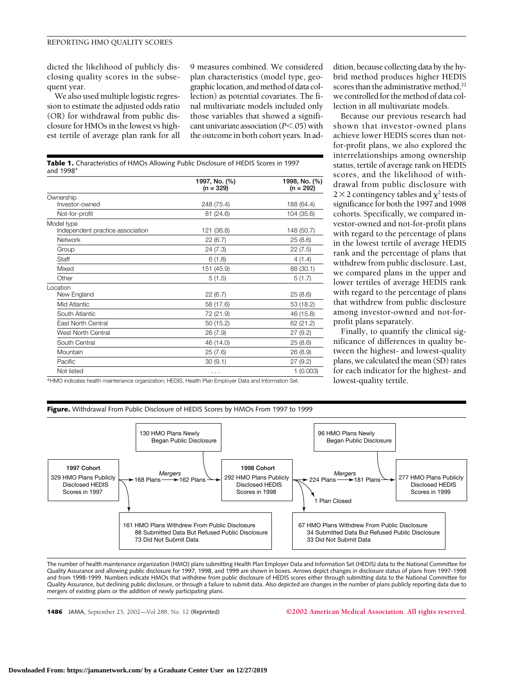dicted the likelihood of publicly disclosing quality scores in the subsequent year.

We also used multiple logistic regression to estimate the adjusted odds ratio (OR) for withdrawal from public disclosure for HMOs in the lowest vs highest tertile of average plan rank for all 9 measures combined. We considered plan characteristics (model type, geographic location, and method of data collection) as potential covariates. The final multivariate models included only those variables that showed a significant univariate association (P<.05) with the outcome in both cohort years. In ad-

**Table 1.** Characteristics of HMOs Allowing Public Disclosure of HEDIS Scores in 1997 and 1998<sup>\*</sup>

|                                                | 1997, No. (%)<br>$(n = 329)$ | 1998, No. (%)<br>$(n = 292)$ |
|------------------------------------------------|------------------------------|------------------------------|
| Ownership                                      |                              |                              |
| Investor-owned                                 | 248 (75.4)                   | 188 (64.4)                   |
| Not-for-profit                                 | 81 (24.6)                    | 104 (35.6)                   |
| Model type<br>Independent practice association | 121 (36.8)                   | 148 (50.7)                   |
| Network                                        | 22(6.7)                      | 25(8.6)                      |
| Group                                          | 24 (7.3)                     | 22(7.5)                      |
| Staff                                          | 6(1.8)                       | 4(1.4)                       |
| Mixed                                          | 151 (45.9)                   | 88 (30.1)                    |
| Other                                          | 5(1.5)                       | 5(1.7)                       |
| Location                                       |                              |                              |
| New England                                    | 22(6.7)                      | 25(8.6)                      |
| Mid Atlantic                                   | 58 (17.6)                    | 53 (18.2)                    |
| South Atlantic                                 | 72 (21.9)                    | 46 (15.8)                    |
| East North Central                             | 50 (15.2)                    | 62 (21.2)                    |
| West North Central                             | 26 (7.9)                     | 27(9.2)                      |
| South Central                                  | 46 (14.0)                    | 25(8.6)                      |
| Mountain                                       | 25(7.6)                      | 26(8.9)                      |
| Pacific                                        | 30(9.1)                      | 27(9.2)                      |
| Not listed                                     | .                            | 1(0.003)                     |

dition, because collecting data by the hybrid method produces higher HEDIS scores than the administrative method,<sup>22</sup> we controlled for the method of data collection in all multivariate models.

Because our previous research had shown that investor-owned plans achieve lower HEDIS scores than notfor-profit plans, we also explored the interrelationships among ownership status, tertile of average rank on HEDIS scores, and the likelihood of withdrawal from public disclosure with  $2 \times 2$  contingency tables and  $\chi^2$  tests of significance for both the 1997 and 1998 cohorts. Specifically, we compared investor-owned and not-for-profit plans with regard to the percentage of plans in the lowest tertile of average HEDIS rank and the percentage of plans that withdrew from public disclosure. Last, we compared plans in the upper and lower tertiles of average HEDIS rank with regard to the percentage of plans that withdrew from public disclosure among investor-owned and not-forprofit plans separately.

Finally, to quantify the clinical significance of differences in quality between the highest- and lowest-quality plans, we calculated the mean (SD) rates for each indicator for the highest- and lowest-quality tertile.

\*HMO indicates health maintenance organization; HEDIS, Health Plan Employer Data and Information Set.



The number of health maintenance organization (HMO) plans submitting Health Plan Employer Data and Information Set (HEDIS) data to the National Committee for<br>Quality Assurance and allowing public disclosure for 1997, 1998, and from 1998-1999. Numbers indicate HMOs that withdrew from public disclosure of HEDIS scores either through submitting data to the National Committee for Quality Assurance, but declining public disclosure, or through a failure to submit data. Also depicted are changes in the number of plans publicly reporting data due to mergers of existing plans or the addition of newly participating plans.

**<sup>1486</sup>** JAMA, September 25, 2002—Vol 288, No. 12 (Reprinted) **©2002 American Medical Association. All rights reserved.**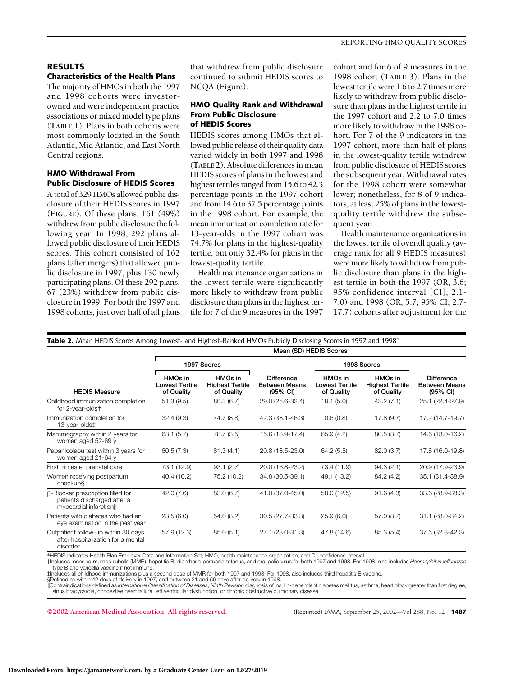## **RESULTS**

#### **Characteristics of the Health Plans**

The majority of HMOs in both the 1997 and 1998 cohorts were investorowned and were independent practice associations or mixed model type plans (**TABLE 1**). Plans in both cohorts were most commonly located in the South Atlantic, Mid Atlantic, and East North Central regions.

## **HMO Withdrawal From Public Disclosure of HEDIS Scores**

A total of 329 HMOs allowed public disclosure of their HEDIS scores in 1997 (**FIGURE**). Of these plans, 161 (49%) withdrew from public disclosure the following year. In 1998, 292 plans allowed public disclosure of their HEDIS scores. This cohort consisted of 162 plans (after mergers) that allowed public disclosure in 1997, plus 130 newly participating plans. Of these 292 plans, 67 (23%) withdrew from public disclosure in 1999. For both the 1997 and 1998 cohorts, just over half of all plans

that withdrew from public disclosure continued to submit HEDIS scores to NCQA (Figure).

## **HMO Quality Rank and Withdrawal From Public Disclosure of HEDIS Scores**

HEDIS scores among HMOs that allowed public release of their quality data varied widely in both 1997 and 1998 (**TABLE 2**). Absolute differences in mean HEDIS scores of plans in the lowest and highest tertiles ranged from 15.6 to 42.3 percentage points in the 1997 cohort and from 14.6 to 37.5 percentage points in the 1998 cohort. For example, the mean immunization completion rate for 13-year-olds in the 1997 cohort was 74.7% for plans in the highest-quality tertile, but only 32.4% for plans in the lowest-quality tertile.

Health maintenance organizations in the lowest tertile were significantly more likely to withdraw from public disclosure than plans in the highest tertile for 7 of the 9 measures in the 1997

cohort and for 6 of 9 measures in the 1998 cohort (**TABLE 3**). Plans in the lowest tertile were 1.6 to 2.7 times more likely to withdraw from public disclosure than plans in the highest tertile in the 1997 cohort and 2.2 to 7.0 times more likely to withdraw in the 1998 cohort. For 7 of the 9 indicators in the 1997 cohort, more than half of plans in the lowest-quality tertile withdrew from public disclosure of HEDIS scores the subsequent year. Withdrawal rates for the 1998 cohort were somewhat lower; nonetheless, for 8 of 9 indicators, at least 25% of plans in the lowestquality tertile withdrew the subsequent year.

Health maintenance organizations in the lowest tertile of overall quality (average rank for all 9 HEDIS measures) were more likely to withdraw from public disclosure than plans in the highest tertile in both the 1997 (OR, 3.6; 95% confidence interval [CI], 2.1- 7.0) and 1998 (OR, 5.7; 95% CI, 2.7- 17.7) cohorts after adjustment for the

#### Table 2. Mean HEDIS Scores Among Lowest- and Highest-Ranked HMOs Publicly Disclosing Scores in 1997 and 1998<sup>\*</sup>

|                                                                                                  | Mean (SD) HEDIS Scores                         |                                                 |                                                                 |                                                            |                                                 |                                                                  |
|--------------------------------------------------------------------------------------------------|------------------------------------------------|-------------------------------------------------|-----------------------------------------------------------------|------------------------------------------------------------|-------------------------------------------------|------------------------------------------------------------------|
| <b>HEDIS Measure</b>                                                                             | 1997 Scores                                    |                                                 |                                                                 | 1998 Scores                                                |                                                 |                                                                  |
|                                                                                                  | HMOs in<br><b>Lowest Tertile</b><br>of Quality | HMOs in<br><b>Highest Tertile</b><br>of Quality | <b>Difference</b><br><b>Between Means</b><br>$(95% \text{ Cl})$ | HMO <sub>s</sub> in<br><b>Lowest Tertile</b><br>of Quality | HMOs in<br><b>Highest Tertile</b><br>of Quality | <b>Difference</b><br><b>Between Means</b><br>$(95\% \text{ Cl})$ |
| Childhood immunization completion<br>for 2-year-olds+                                            | 51.3(9.5)                                      | 80.3(6.7)                                       | 29.0 (25.6-32.4)                                                | 18.1(5.0)                                                  | 43.2(7.1)                                       | 25.1 (22.4-27.9)                                                 |
| Immunization completion for<br>13-year-olds‡                                                     | 32.4(9.3)                                      | 74.7 (8.8)                                      | 42.3 (38.1-46.3)                                                | 0.6(0.8)                                                   | 17.8(9.7)                                       | 17.2 (14.7-19.7)                                                 |
| Mammography within 2 years for<br>women aged 52-69 y                                             | 63.1(5.7)                                      | 78.7 (3.5)                                      | 15.6 (13.9-17.4)                                                | 65.9 (4.2)                                                 | 80.5(3.7)                                       | 14.6 (13.0-16.2)                                                 |
| Papanicolaou test within 3 years for<br>women aged 21-64 y                                       | 60.5(7.3)                                      | 81.3(4.1)                                       | 20.8 (18.5-23.0)                                                | 64.2(5.5)                                                  | 82.0(3.7)                                       | 17.8 (16.0-19.8)                                                 |
| First trimester prenatal care                                                                    | 73.1 (12.9)                                    | 93.1(2.7)                                       | 20.0 (16.8-23.2)                                                | 73.4 (11.9)                                                | 94.3(2.1)                                       | 20.9 (17.9-23.9)                                                 |
| Women receiving postpartum<br>checkup                                                            | 40.4 (10.2)                                    | 75.2 (10.2)                                     | 34.8 (30.5-39.1)                                                | 49.1 (13.2)                                                | 84.2 (4.2)                                      | 35.1 (31.4-38.9)                                                 |
| <b>β-Blocker prescription filled for</b><br>patients discharged after a<br>myocardial infarction | 42.0(7.6)                                      | 83.0 (6.7)                                      | 41.0 (37.0-45.0)                                                | 58.0 (12.5)                                                | 91.6(4.3)                                       | 33.6 (28.9-38.3)                                                 |
| Patients with diabetes who had an<br>eye examination in the past year                            | 23.5(6.0)                                      | 54.0(8.2)                                       | 30.5 (27.7-33.3)                                                | 25.9(6.0)                                                  | 57.0 (8.7)                                      | 31.1 (28.0-34.2)                                                 |
| Outpatient follow-up within 30 days<br>after hospitalization for a mental<br>disorder            | 57.9 (12.3)                                    | 85.0(5.1)                                       | 27.1 (23.0-31.3)                                                | 47.8 (14.6)                                                | 85.3 (5.4)                                      | 37.5 (32.8-42.3)                                                 |

\*HEDIS indicates Health Plan Employer Data and Information Set; HMO, health maintenance organization; and CI, confidence interval.

†Includes measles-mumps-rubella (MMR), hepatitis B, diphtheria-pertussis-tetanus, and oral polio virus for both 1997 and 1998. For 1998, also includes *Haemophilus influenzae* type B and varicella vaccine if not immune.

‡Includes all childhood immunizations plus a second dose of MMR for both 1997 and 1998. For 1998, also includes third hepatitis B vaccine.

§Defined as within 42 days of delivery in 1997, and between 21 and 56 days after delivery in 1998.

Contraindications defined as *International Classification of Diseases*, *Ninth Revision* diagnosis of insulin-dependent diabetes mellitus, asthma, heart block greater than first degree, sinus bradycardia, congestive heart failure, left ventricular dysfunction, or chronic obstructive pulmonary disease.

**©2002 American Medical Association. All rights reserved.** (Reprinted) JAMA, September 25, 2002—Vol 288, No. 12 **1487**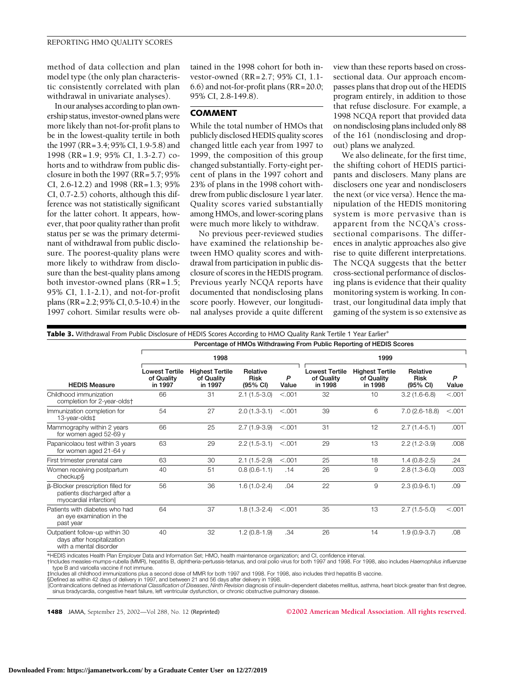method of data collection and plan model type (the only plan characteristic consistently correlated with plan withdrawal in univariate analyses).

In our analyses according to plan ownership status, investor-owned plans were more likely than not-for-profit plans to be in the lowest-quality tertile in both the 1997 (RR=3.4; 95% CI, 1.9-5.8) and 1998 (RR=1.9; 95% CI, 1.3-2.7) cohorts and to withdraw from public disclosure in both the 1997 (RR=5.7; 95% CI, 2.6-12.2) and 1998 (RR=1.3; 95% CI, 0.7-2.5) cohorts, although this difference was not statistically significant for the latter cohort. It appears, however, that poor quality rather than profit status per se was the primary determinant of withdrawal from public disclosure. The poorest-quality plans were more likely to withdraw from disclosure than the best-quality plans among both investor-owned plans (RR=1.5; 95% CI, 1.1-2.1), and not-for-profit plans (RR=2.2; 95% CI, 0.5-10.4) in the 1997 cohort. Similar results were obtained in the 1998 cohort for both investor-owned (RR=2.7; 95% CI, 1.1- 6.6) and not-for-profit plans (RR=20.0; 95% CI, 2.8-149.8).

# **COMMENT**

While the total number of HMOs that publicly disclosed HEDIS quality scores changed little each year from 1997 to 1999, the composition of this group changed substantially. Forty-eight percent of plans in the 1997 cohort and 23% of plans in the 1998 cohort withdrew from public disclosure 1 year later. Quality scores varied substantially among HMOs, and lower-scoring plans were much more likely to withdraw.

No previous peer-reviewed studies have examined the relationship between HMO quality scores and withdrawal from participation in public disclosure of scores in the HEDIS program. Previous yearly NCQA reports have documented that nondisclosing plans score poorly. However, our longitudinal analyses provide a quite different

view than these reports based on crosssectional data. Our approach encompasses plans that drop out of the HEDIS program entirely, in addition to those that refuse disclosure. For example, a 1998 NCQA report that provided data on nondisclosing plans included only 88 of the 161 (nondisclosing and dropout) plans we analyzed.

We also delineate, for the first time, the shifting cohort of HEDIS participants and disclosers. Many plans are disclosers one year and nondisclosers the next (or vice versa). Hence the manipulation of the HEDIS monitoring system is more pervasive than is apparent from the NCQA's crosssectional comparisons. The differences in analytic approaches also give rise to quite different interpretations. The NCQA suggests that the better cross-sectional performance of disclosing plans is evidence that their quality monitoring system is working. In contrast, our longitudinal data imply that gaming of the system is so extensive as

| Table 3. Withdrawal From Public Disclosure of HEDIS Scores According to HMO Quality Rank Tertile 1 Year Earlier* |                                                                      |                                                 |                                     |            |                                                |                                                 |                                     |            |  |
|------------------------------------------------------------------------------------------------------------------|----------------------------------------------------------------------|-------------------------------------------------|-------------------------------------|------------|------------------------------------------------|-------------------------------------------------|-------------------------------------|------------|--|
|                                                                                                                  | Percentage of HMOs Withdrawing From Public Reporting of HEDIS Scores |                                                 |                                     |            |                                                |                                                 |                                     |            |  |
|                                                                                                                  | 1998                                                                 |                                                 |                                     |            | 1999                                           |                                                 |                                     |            |  |
| <b>HEDIS Measure</b>                                                                                             | <b>Lowest Tertile</b><br>of Quality<br>in 1997                       | <b>Highest Tertile</b><br>of Quality<br>in 1997 | Relative<br><b>Risk</b><br>(95% CI) | P<br>Value | <b>Lowest Tertile</b><br>of Quality<br>in 1998 | <b>Highest Tertile</b><br>of Quality<br>in 1998 | Relative<br><b>Risk</b><br>(95% CI) | P<br>Value |  |
| Childhood immunization<br>completion for 2-year-olds+                                                            | 66                                                                   | 31                                              | $2.1(1.5-3.0)$                      | < .001     | 32                                             | 10                                              | $3.2(1.6-6.8)$                      | < .001     |  |
| Immunization completion for<br>13-year-olds <sup>+</sup>                                                         | 54                                                                   | 27                                              | $2.0(1.3-3.1)$                      | < 0.001    | 39                                             | 6                                               | $7.0(2.6-18.8)$                     | < .001     |  |
| Mammography within 2 years<br>for women aged 52-69 y                                                             | 66                                                                   | 25                                              | $2.7(1.9-3.9)$                      | < 0.001    | 31                                             | 12                                              | $2.7(1.4-5.1)$                      | .001       |  |
| Papanicolaou test within 3 years<br>for women aged 21-64 y                                                       | 63                                                                   | 29                                              | $2.2(1.5-3.1)$                      | < 0.001    | 29                                             | 13                                              | $2.2(1.2-3.9)$                      | .008       |  |
| First trimester prenatal care                                                                                    | 63                                                                   | 30                                              | $2.1(1.5-2.9)$                      | < .001     | 25                                             | 18                                              | $1.4(0.8-2.5)$                      | .24        |  |
| Women receiving postpartum<br>checkup§                                                                           | 40                                                                   | 51                                              | $0.8(0.6-1.1)$                      | .14        | 26                                             | 9                                               | $2.8(1.3-6.0)$                      | .003       |  |
| <b>B-Blocker prescription filled for</b><br>patients discharged after a<br>myocardial infarction                 | 56                                                                   | 36                                              | $1.6(1.0-2.4)$                      | .04        | 22                                             | 9                                               | $2.3(0.9-6.1)$                      | .09        |  |
| Patients with diabetes who had<br>an eye examination in the<br>past year                                         | 64                                                                   | 37                                              | $1.8(1.3-2.4)$                      | < .001     | 35                                             | 13                                              | $2.7(1.5-5.0)$                      | < .001     |  |
| Outpatient follow-up within 30<br>days after hospitalization<br>with a mental disorder                           | 40                                                                   | 32                                              | $1.2(0.8-1.9)$                      | .34        | 26                                             | 14                                              | $1.9(0.9-3.7)$                      | .08        |  |

\*HEDIS indicates Health Plan Employer Data and Information Set; HMO, health maintenance organization; and CI, confidence interval.

†Includes measles-mumps-rubella (MMR), hepatitis B, diphtheria-pertussis-tetanus, and oral polio virus for both 1997 and 1998. For 1998, also includes *Haemophilus influenzae* type B and varicella vaccine if not immune.

‡Includes all childhood immunizations plus a second dose of MMR for both 1997 and 1998. For 1998, also includes third hepatitis B vaccine. §Defined as within 42 days of delivery in 1997, and between 21 and 56 days after delivery in 1998.

Contraindications defined as *International Classification of Diseases*, *Ninth Revision* diagnosis of insulin-dependent diabetes mellitus, asthma, heart block greater than first degree, sinus bradycardia, congestive heart failure, left ventricular dysfunction, or chronic obstructive pulmonary disease.

**1488** JAMA, September 25, 2002—Vol 288, No. 12 (Reprinted) **©2002 American Medical Association. All rights reserved.**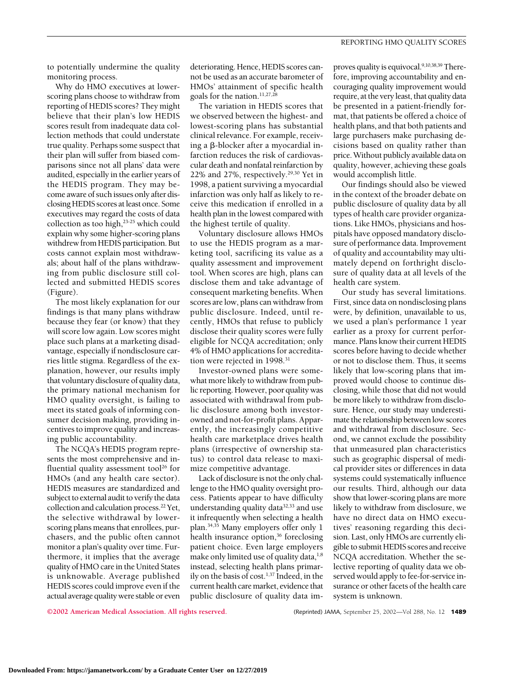to potentially undermine the quality monitoring process.

Why do HMO executives at lowerscoring plans choose to withdraw from reporting of HEDIS scores? They might believe that their plan's low HEDIS scores result from inadequate data collection methods that could understate true quality. Perhaps some suspect that their plan will suffer from biased comparisons since not all plans' data were audited, especially in the earlier years of the HEDIS program. They may become aware of such issues only after disclosing HEDIS scores at least once. Some executives may regard the costs of data collection as too high,23-25 which could explain why some higher-scoring plans withdrew from HEDIS participation. But costs cannot explain most withdrawals; about half of the plans withdrawing from public disclosure still collected and submitted HEDIS scores (Figure).

The most likely explanation for our findings is that many plans withdraw because they fear (or know) that they will score low again. Low scores might place such plans at a marketing disadvantage, especially if nondisclosure carries little stigma. Regardless of the explanation, however, our results imply that voluntary disclosure of quality data, the primary national mechanism for HMO quality oversight, is failing to meet its stated goals of informing consumer decision making, providing incentives to improve quality and increasing public accountability.

The NCQA's HEDIS program represents the most comprehensive and influential quality assessment tool $26$  for HMOs (and any health care sector). HEDIS measures are standardized and subject to external audit to verify the data collection and calculation process.22 Yet, the selective withdrawal by lowerscoring plans means that enrollees, purchasers, and the public often cannot monitor a plan's quality over time. Furthermore, it implies that the average quality of HMO care in the United States is unknowable. Average published HEDIS scores could improve even if the actual average quality were stable or even

deteriorating. Hence, HEDIS scores cannot be used as an accurate barometer of HMOs' attainment of specific health goals for the nation.<sup>11,27,28</sup>

The variation in HEDIS scores that we observed between the highest- and lowest-scoring plans has substantial clinical relevance. For example, receiving a  $\beta$ -blocker after a myocardial infarction reduces the risk of cardiovascular death and nonfatal reinfarction by 22% and 27%, respectively.29,30 Yet in 1998, a patient surviving a myocardial infarction was only half as likely to receive this medication if enrolled in a health plan in the lowest compared with the highest tertile of quality.

Voluntary disclosure allows HMOs to use the HEDIS program as a marketing tool, sacrificing its value as a quality assessment and improvement tool. When scores are high, plans can disclose them and take advantage of consequent marketing benefits. When scores are low, plans can withdraw from public disclosure. Indeed, until recently, HMOs that refuse to publicly disclose their quality scores were fully eligible for NCQA accreditation; only 4% of HMO applications for accreditation were rejected in 1998.<sup>31</sup>

Investor-owned plans were somewhat more likely to withdraw from public reporting. However, poor quality was associated with withdrawal from public disclosure among both investorowned and not-for-profit plans. Apparently, the increasingly competitive health care marketplace drives health plans (irrespective of ownership status) to control data release to maximize competitive advantage.

Lack of disclosure is not the only challenge to the HMO quality oversight process. Patients appear to have difficulty understanding quality data<sup>32,33</sup> and use it infrequently when selecting a health plan.34,35 Many employers offer only 1 health insurance option,<sup>36</sup> foreclosing patient choice. Even large employers make only limited use of quality data, $^{1,8}$ instead, selecting health plans primarily on the basis of cost.<sup>1,37</sup> Indeed, in the current health care market, evidence that public disclosure of quality data im-

proves quality is equivocal.<sup>9,10,38,39</sup> Therefore, improving accountability and encouraging quality improvement would require, at the very least, that quality data be presented in a patient-friendly format, that patients be offered a choice of health plans, and that both patients and large purchasers make purchasing decisions based on quality rather than price. Without publicly available data on quality, however, achieving these goals would accomplish little.

Our findings should also be viewed in the context of the broader debate on public disclosure of quality data by all types of health care provider organizations. Like HMOs, physicians and hospitals have opposed mandatory disclosure of performance data. Improvement of quality and accountability may ultimately depend on forthright disclosure of quality data at all levels of the health care system.

Our study has several limitations. First, since data on nondisclosing plans were, by definition, unavailable to us, we used a plan's performance 1 year earlier as a proxy for current performance. Plans know their current HEDIS scores before having to decide whether or not to disclose them. Thus, it seems likely that low-scoring plans that improved would choose to continue disclosing, while those that did not would be more likely to withdraw from disclosure. Hence, our study may underestimate the relationship between low scores and withdrawal from disclosure. Second, we cannot exclude the possibility that unmeasured plan characteristics such as geographic dispersal of medical provider sites or differences in data systems could systematically influence our results. Third, although our data show that lower-scoring plans are more likely to withdraw from disclosure, we have no direct data on HMO executives' reasoning regarding this decision. Last, only HMOs are currently eligible to submit HEDIS scores and receive NCQA accreditation. Whether the selective reporting of quality data we observed would apply to fee-for-service insurance or other facets of the health care system is unknown.

**©2002 American Medical Association. All rights reserved.** (Reprinted) JAMA, September 25, 2002—Vol 288, No. 12 **1489**